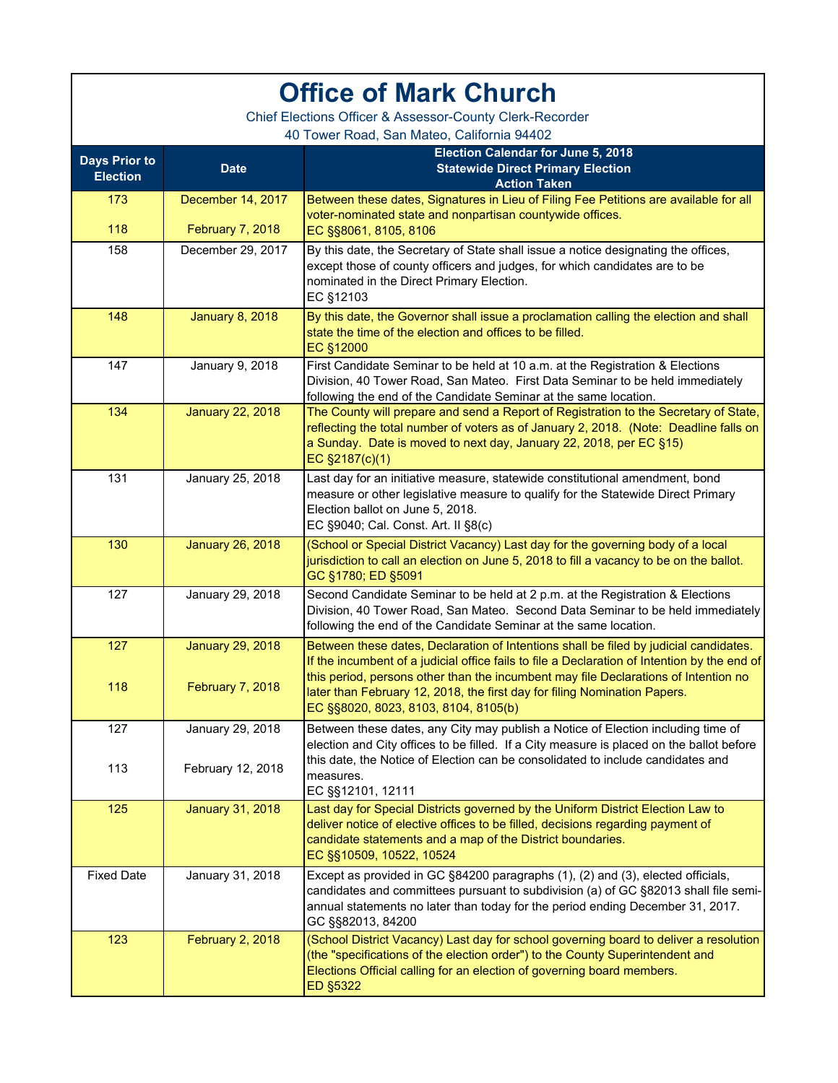| <b>Office of Mark Church</b>                                                                           |                                       |                                                                                                                                                                                                                                                                               |  |
|--------------------------------------------------------------------------------------------------------|---------------------------------------|-------------------------------------------------------------------------------------------------------------------------------------------------------------------------------------------------------------------------------------------------------------------------------|--|
| Chief Elections Officer & Assessor-County Clerk-Recorder<br>40 Tower Road, San Mateo, California 94402 |                                       |                                                                                                                                                                                                                                                                               |  |
| <b>Days Prior to</b><br><b>Election</b>                                                                | <b>Date</b>                           | Election Calendar for June 5, 2018<br><b>Statewide Direct Primary Election</b><br><b>Action Taken</b>                                                                                                                                                                         |  |
| 173<br>118                                                                                             | December 14, 2017<br>February 7, 2018 | Between these dates, Signatures in Lieu of Filing Fee Petitions are available for all<br>voter-nominated state and nonpartisan countywide offices.<br>EC §§8061, 8105, 8106                                                                                                   |  |
| 158                                                                                                    | December 29, 2017                     | By this date, the Secretary of State shall issue a notice designating the offices,<br>except those of county officers and judges, for which candidates are to be<br>nominated in the Direct Primary Election.<br>EC §12103                                                    |  |
| 148                                                                                                    | <b>January 8, 2018</b>                | By this date, the Governor shall issue a proclamation calling the election and shall<br>state the time of the election and offices to be filled.<br><b>EC §12000</b>                                                                                                          |  |
| 147                                                                                                    | January 9, 2018                       | First Candidate Seminar to be held at 10 a.m. at the Registration & Elections<br>Division, 40 Tower Road, San Mateo. First Data Seminar to be held immediately<br>following the end of the Candidate Seminar at the same location.                                            |  |
| 134                                                                                                    | <b>January 22, 2018</b>               | The County will prepare and send a Report of Registration to the Secretary of State,<br>reflecting the total number of voters as of January 2, 2018. (Note: Deadline falls on<br>a Sunday. Date is moved to next day, January 22, 2018, per EC §15)<br>EC §2187(c)(1)         |  |
| 131                                                                                                    | January 25, 2018                      | Last day for an initiative measure, statewide constitutional amendment, bond<br>measure or other legislative measure to qualify for the Statewide Direct Primary<br>Election ballot on June 5, 2018.<br>EC §9040; Cal. Const. Art. II §8(c)                                   |  |
| 130                                                                                                    | <b>January 26, 2018</b>               | (School or Special District Vacancy) Last day for the governing body of a local<br>jurisdiction to call an election on June 5, 2018 to fill a vacancy to be on the ballot.<br>GC §1780; ED §5091                                                                              |  |
| 127                                                                                                    | January 29, 2018                      | Second Candidate Seminar to be held at 2 p.m. at the Registration & Elections<br>Division, 40 Tower Road, San Mateo. Second Data Seminar to be held immediately<br>following the end of the Candidate Seminar at the same location.                                           |  |
| 127                                                                                                    | <b>January 29, 2018</b>               | Between these dates, Declaration of Intentions shall be filed by judicial candidates.<br>If the incumbent of a judicial office fails to file a Declaration of Intention by the end of<br>this period, persons other than the incumbent may file Declarations of Intention no  |  |
| 118                                                                                                    | February 7, 2018                      | later than February 12, 2018, the first day for filing Nomination Papers.<br>EC §§8020, 8023, 8103, 8104, 8105(b)                                                                                                                                                             |  |
| 127                                                                                                    | January 29, 2018                      | Between these dates, any City may publish a Notice of Election including time of<br>election and City offices to be filled. If a City measure is placed on the ballot before<br>this date, the Notice of Election can be consolidated to include candidates and               |  |
| 113                                                                                                    | February 12, 2018                     | measures.<br>EC §§12101, 12111                                                                                                                                                                                                                                                |  |
| 125                                                                                                    | <b>January 31, 2018</b>               | Last day for Special Districts governed by the Uniform District Election Law to<br>deliver notice of elective offices to be filled, decisions regarding payment of<br>candidate statements and a map of the District boundaries.<br>EC §§10509, 10522, 10524                  |  |
| <b>Fixed Date</b>                                                                                      | January 31, 2018                      | Except as provided in GC §84200 paragraphs (1), (2) and (3), elected officials,<br>candidates and committees pursuant to subdivision (a) of GC §82013 shall file semi-<br>annual statements no later than today for the period ending December 31, 2017.<br>GC §§82013, 84200 |  |
| 123                                                                                                    | February 2, 2018                      | (School District Vacancy) Last day for school governing board to deliver a resolution<br>(the "specifications of the election order") to the County Superintendent and<br>Elections Official calling for an election of governing board members.<br><b>ED §5322</b>           |  |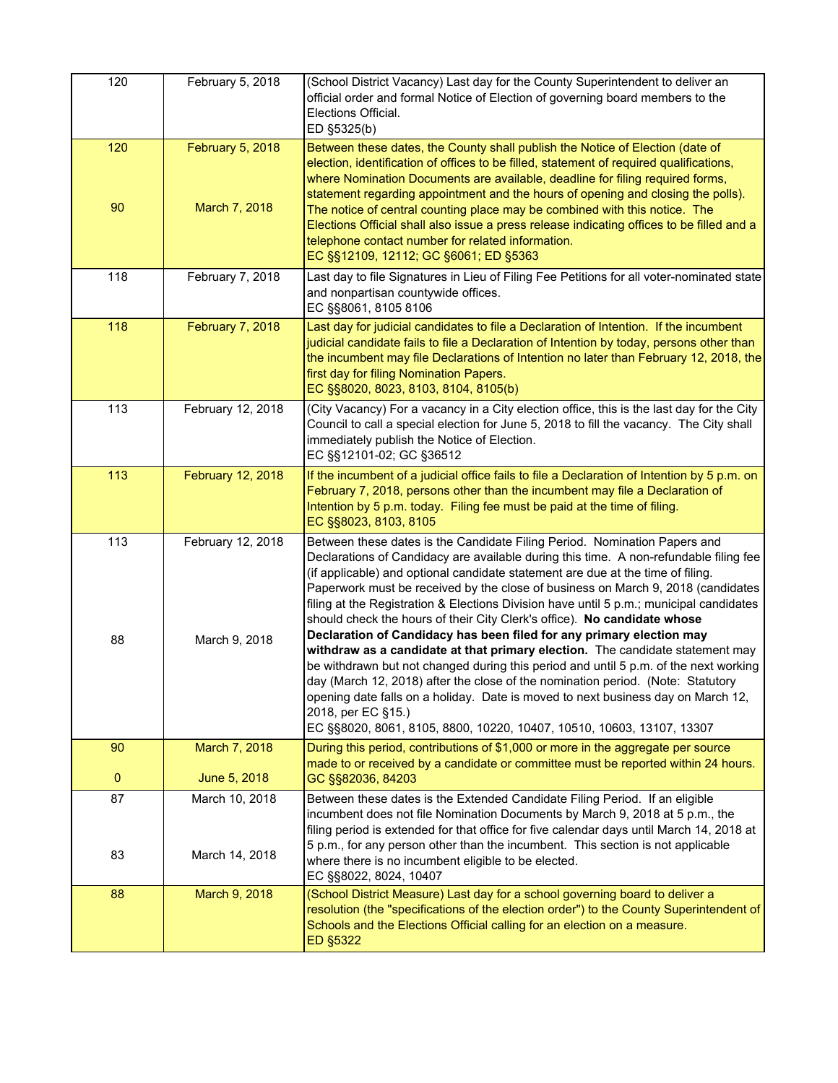| 120       | February 5, 2018                   | (School District Vacancy) Last day for the County Superintendent to deliver an<br>official order and formal Notice of Election of governing board members to the<br>Elections Official.<br>ED §5325(b)                                                                                                                                                                                                                                                                                                                                                                                                                                                                                                                                                                                                                                                                                                                                                                                                                                  |
|-----------|------------------------------------|-----------------------------------------------------------------------------------------------------------------------------------------------------------------------------------------------------------------------------------------------------------------------------------------------------------------------------------------------------------------------------------------------------------------------------------------------------------------------------------------------------------------------------------------------------------------------------------------------------------------------------------------------------------------------------------------------------------------------------------------------------------------------------------------------------------------------------------------------------------------------------------------------------------------------------------------------------------------------------------------------------------------------------------------|
| 120<br>90 | February 5, 2018<br>March 7, 2018  | Between these dates, the County shall publish the Notice of Election (date of<br>election, identification of offices to be filled, statement of required qualifications,<br>where Nomination Documents are available, deadline for filing required forms,<br>statement regarding appointment and the hours of opening and closing the polls).<br>The notice of central counting place may be combined with this notice. The<br>Elections Official shall also issue a press release indicating offices to be filled and a<br>telephone contact number for related information.<br>EC §§12109, 12112; GC §6061; ED §5363                                                                                                                                                                                                                                                                                                                                                                                                                  |
| 118       | February 7, 2018                   | Last day to file Signatures in Lieu of Filing Fee Petitions for all voter-nominated state<br>and nonpartisan countywide offices.<br>EC §§8061, 8105 8106                                                                                                                                                                                                                                                                                                                                                                                                                                                                                                                                                                                                                                                                                                                                                                                                                                                                                |
| 118       | February 7, 2018                   | Last day for judicial candidates to file a Declaration of Intention. If the incumbent<br>judicial candidate fails to file a Declaration of Intention by today, persons other than<br>the incumbent may file Declarations of Intention no later than February 12, 2018, the<br>first day for filing Nomination Papers.<br>EC §§8020, 8023, 8103, 8104, 8105(b)                                                                                                                                                                                                                                                                                                                                                                                                                                                                                                                                                                                                                                                                           |
| 113       | February 12, 2018                  | (City Vacancy) For a vacancy in a City election office, this is the last day for the City<br>Council to call a special election for June 5, 2018 to fill the vacancy. The City shall<br>immediately publish the Notice of Election.<br>EC §§12101-02; GC §36512                                                                                                                                                                                                                                                                                                                                                                                                                                                                                                                                                                                                                                                                                                                                                                         |
| 113       | February 12, 2018                  | If the incumbent of a judicial office fails to file a Declaration of Intention by 5 p.m. on<br>February 7, 2018, persons other than the incumbent may file a Declaration of<br>Intention by 5 p.m. today. Filing fee must be paid at the time of filing.<br>EC §§8023, 8103, 8105                                                                                                                                                                                                                                                                                                                                                                                                                                                                                                                                                                                                                                                                                                                                                       |
| 113<br>88 | February 12, 2018<br>March 9, 2018 | Between these dates is the Candidate Filing Period. Nomination Papers and<br>Declarations of Candidacy are available during this time. A non-refundable filing fee<br>(if applicable) and optional candidate statement are due at the time of filing.<br>Paperwork must be received by the close of business on March 9, 2018 (candidates<br>filing at the Registration & Elections Division have until 5 p.m.; municipal candidates<br>should check the hours of their City Clerk's office). No candidate whose<br>Declaration of Candidacy has been filed for any primary election may<br>withdraw as a candidate at that primary election. The candidate statement may<br>be withdrawn but not changed during this period and until 5 p.m. of the next working<br>day (March 12, 2018) after the close of the nomination period. (Note: Statutory<br>opening date falls on a holiday. Date is moved to next business day on March 12,<br>2018, per EC §15.)<br>EC §§8020, 8061, 8105, 8800, 10220, 10407, 10510, 10603, 13107, 13307 |
| 90        | March 7, 2018                      | During this period, contributions of \$1,000 or more in the aggregate per source<br>made to or received by a candidate or committee must be reported within 24 hours.                                                                                                                                                                                                                                                                                                                                                                                                                                                                                                                                                                                                                                                                                                                                                                                                                                                                   |
| $\pmb{0}$ | June 5, 2018                       | GC §§82036, 84203                                                                                                                                                                                                                                                                                                                                                                                                                                                                                                                                                                                                                                                                                                                                                                                                                                                                                                                                                                                                                       |
| 87<br>83  | March 10, 2018<br>March 14, 2018   | Between these dates is the Extended Candidate Filing Period. If an eligible<br>incumbent does not file Nomination Documents by March 9, 2018 at 5 p.m., the<br>filing period is extended for that office for five calendar days until March 14, 2018 at<br>5 p.m., for any person other than the incumbent. This section is not applicable<br>where there is no incumbent eligible to be elected.<br>EC §§8022, 8024, 10407                                                                                                                                                                                                                                                                                                                                                                                                                                                                                                                                                                                                             |
| 88        | March 9, 2018                      | (School District Measure) Last day for a school governing board to deliver a<br>resolution (the "specifications of the election order") to the County Superintendent of<br>Schools and the Elections Official calling for an election on a measure.<br><b>ED §5322</b>                                                                                                                                                                                                                                                                                                                                                                                                                                                                                                                                                                                                                                                                                                                                                                  |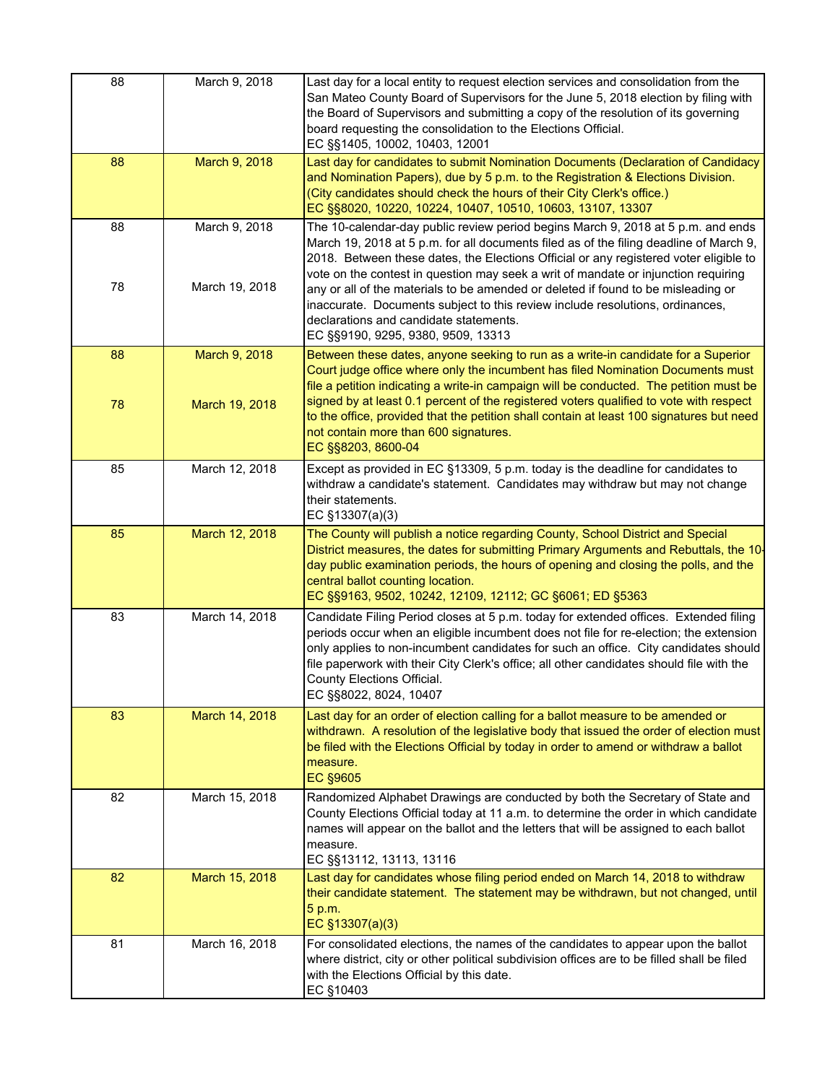| 88       | March 9, 2018                   | Last day for a local entity to request election services and consolidation from the<br>San Mateo County Board of Supervisors for the June 5, 2018 election by filing with<br>the Board of Supervisors and submitting a copy of the resolution of its governing<br>board requesting the consolidation to the Elections Official.<br>EC §§1405, 10002, 10403, 12001                                                                                                                                                   |
|----------|---------------------------------|---------------------------------------------------------------------------------------------------------------------------------------------------------------------------------------------------------------------------------------------------------------------------------------------------------------------------------------------------------------------------------------------------------------------------------------------------------------------------------------------------------------------|
| 88       | March 9, 2018                   | Last day for candidates to submit Nomination Documents (Declaration of Candidacy<br>and Nomination Papers), due by 5 p.m. to the Registration & Elections Division.<br>(City candidates should check the hours of their City Clerk's office.)<br>EC §§8020, 10220, 10224, 10407, 10510, 10603, 13107, 13307                                                                                                                                                                                                         |
| 88       | March 9, 2018                   | The 10-calendar-day public review period begins March 9, 2018 at 5 p.m. and ends<br>March 19, 2018 at 5 p.m. for all documents filed as of the filing deadline of March 9,<br>2018. Between these dates, the Elections Official or any registered voter eligible to                                                                                                                                                                                                                                                 |
| 78       | March 19, 2018                  | vote on the contest in question may seek a writ of mandate or injunction requiring<br>any or all of the materials to be amended or deleted if found to be misleading or<br>inaccurate. Documents subject to this review include resolutions, ordinances,<br>declarations and candidate statements.<br>EC §§9190, 9295, 9380, 9509, 13313                                                                                                                                                                            |
| 88<br>78 | March 9, 2018<br>March 19, 2018 | Between these dates, anyone seeking to run as a write-in candidate for a Superior<br>Court judge office where only the incumbent has filed Nomination Documents must<br>file a petition indicating a write-in campaign will be conducted. The petition must be<br>signed by at least 0.1 percent of the registered voters qualified to vote with respect<br>to the office, provided that the petition shall contain at least 100 signatures but need<br>not contain more than 600 signatures.<br>EC §§8203, 8600-04 |
| 85       | March 12, 2018                  | Except as provided in EC §13309, 5 p.m. today is the deadline for candidates to<br>withdraw a candidate's statement. Candidates may withdraw but may not change<br>their statements.<br>EC §13307(a)(3)                                                                                                                                                                                                                                                                                                             |
| 85       | March 12, 2018                  | The County will publish a notice regarding County, School District and Special<br>District measures, the dates for submitting Primary Arguments and Rebuttals, the 10-<br>day public examination periods, the hours of opening and closing the polls, and the<br>central ballot counting location.<br>EC §§9163, 9502, 10242, 12109, 12112; GC §6061; ED §5363                                                                                                                                                      |
| 83       | March 14, 2018                  | Candidate Filing Period closes at 5 p.m. today for extended offices. Extended filing<br>periods occur when an eligible incumbent does not file for re-election; the extension<br>only applies to non-incumbent candidates for such an office. City candidates should<br>file paperwork with their City Clerk's office; all other candidates should file with the<br>County Elections Official.<br>EC §§8022, 8024, 10407                                                                                            |
| 83       | March 14, 2018                  | Last day for an order of election calling for a ballot measure to be amended or<br>withdrawn. A resolution of the legislative body that issued the order of election must<br>be filed with the Elections Official by today in order to amend or withdraw a ballot<br>measure.<br><b>EC §9605</b>                                                                                                                                                                                                                    |
| 82       | March 15, 2018                  | Randomized Alphabet Drawings are conducted by both the Secretary of State and<br>County Elections Official today at 11 a.m. to determine the order in which candidate<br>names will appear on the ballot and the letters that will be assigned to each ballot<br>measure.<br>EC §§13112, 13113, 13116                                                                                                                                                                                                               |
| 82       | March 15, 2018                  | Last day for candidates whose filing period ended on March 14, 2018 to withdraw<br>their candidate statement. The statement may be withdrawn, but not changed, until<br>5 p.m.<br>EC §13307(a)(3)                                                                                                                                                                                                                                                                                                                   |
| 81       | March 16, 2018                  | For consolidated elections, the names of the candidates to appear upon the ballot<br>where district, city or other political subdivision offices are to be filled shall be filed<br>with the Elections Official by this date.<br>EC §10403                                                                                                                                                                                                                                                                          |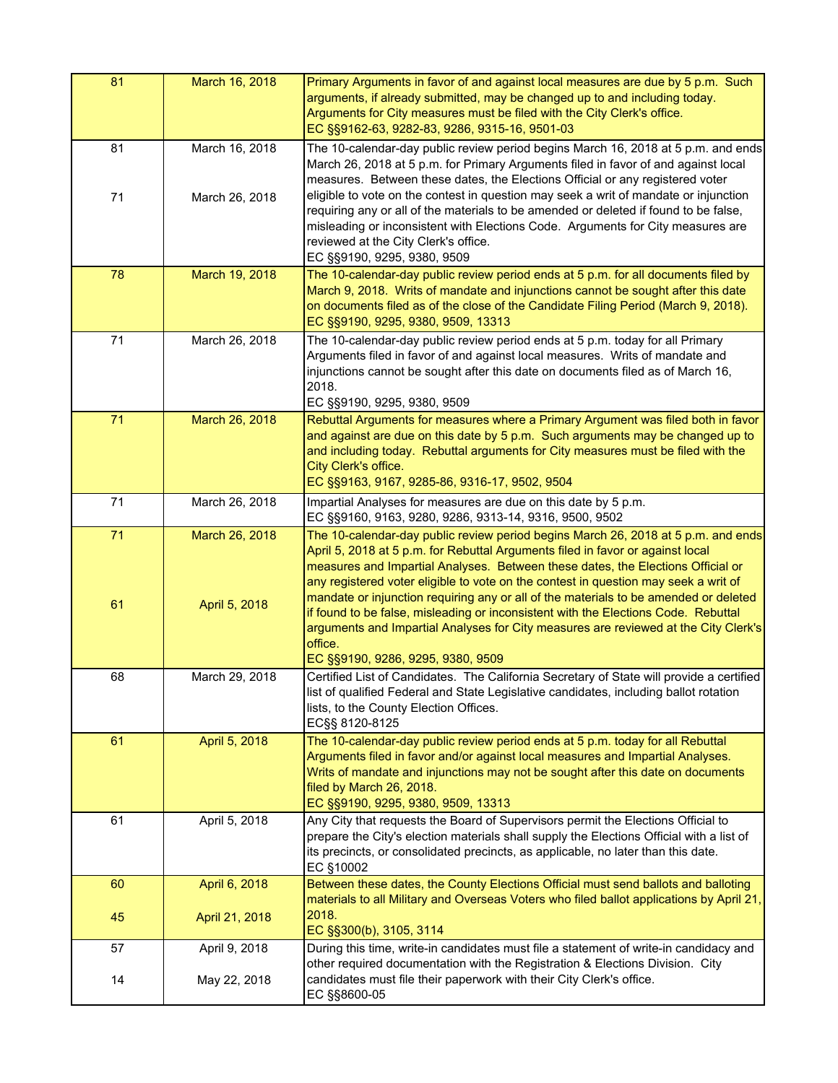| 81       | March 16, 2018                  | Primary Arguments in favor of and against local measures are due by 5 p.m. Such<br>arguments, if already submitted, may be changed up to and including today.<br>Arguments for City measures must be filed with the City Clerk's office.<br>EC §§9162-63, 9282-83, 9286, 9315-16, 9501-03                                                                                                                                                                                                                                   |
|----------|---------------------------------|-----------------------------------------------------------------------------------------------------------------------------------------------------------------------------------------------------------------------------------------------------------------------------------------------------------------------------------------------------------------------------------------------------------------------------------------------------------------------------------------------------------------------------|
| 81       | March 16, 2018                  | The 10-calendar-day public review period begins March 16, 2018 at 5 p.m. and ends<br>March 26, 2018 at 5 p.m. for Primary Arguments filed in favor of and against local<br>measures. Between these dates, the Elections Official or any registered voter                                                                                                                                                                                                                                                                    |
| 71       | March 26, 2018                  | eligible to vote on the contest in question may seek a writ of mandate or injunction<br>requiring any or all of the materials to be amended or deleted if found to be false,<br>misleading or inconsistent with Elections Code. Arguments for City measures are<br>reviewed at the City Clerk's office.<br>EC §§9190, 9295, 9380, 9509                                                                                                                                                                                      |
| 78       | March 19, 2018                  | The 10-calendar-day public review period ends at 5 p.m. for all documents filed by<br>March 9, 2018. Writs of mandate and injunctions cannot be sought after this date<br>on documents filed as of the close of the Candidate Filing Period (March 9, 2018).<br>EC §§9190, 9295, 9380, 9509, 13313                                                                                                                                                                                                                          |
| 71       | March 26, 2018                  | The 10-calendar-day public review period ends at 5 p.m. today for all Primary<br>Arguments filed in favor of and against local measures. Writs of mandate and<br>injunctions cannot be sought after this date on documents filed as of March 16,<br>2018.<br>EC §§9190, 9295, 9380, 9509                                                                                                                                                                                                                                    |
| 71       | March 26, 2018                  | Rebuttal Arguments for measures where a Primary Argument was filed both in favor<br>and against are due on this date by 5 p.m. Such arguments may be changed up to<br>and including today. Rebuttal arguments for City measures must be filed with the<br>City Clerk's office.<br>EC §§9163, 9167, 9285-86, 9316-17, 9502, 9504                                                                                                                                                                                             |
| 71       | March 26, 2018                  | Impartial Analyses for measures are due on this date by 5 p.m.<br>EC §§9160, 9163, 9280, 9286, 9313-14, 9316, 9500, 9502                                                                                                                                                                                                                                                                                                                                                                                                    |
| 71<br>61 | March 26, 2018<br>April 5, 2018 | The 10-calendar-day public review period begins March 26, 2018 at 5 p.m. and ends<br>April 5, 2018 at 5 p.m. for Rebuttal Arguments filed in favor or against local<br>measures and Impartial Analyses. Between these dates, the Elections Official or<br>any registered voter eligible to vote on the contest in question may seek a writ of<br>mandate or injunction requiring any or all of the materials to be amended or deleted<br>if found to be false, misleading or inconsistent with the Elections Code. Rebuttal |
|          |                                 | arguments and Impartial Analyses for City measures are reviewed at the City Clerk's<br>office.<br>EC §§9190, 9286, 9295, 9380, 9509                                                                                                                                                                                                                                                                                                                                                                                         |
| 68       | March 29, 2018                  | Certified List of Candidates. The California Secretary of State will provide a certified<br>list of qualified Federal and State Legislative candidates, including ballot rotation<br>lists, to the County Election Offices.<br>EC§§ 8120-8125                                                                                                                                                                                                                                                                               |
| 61       | April 5, 2018                   | The 10-calendar-day public review period ends at 5 p.m. today for all Rebuttal<br>Arguments filed in favor and/or against local measures and Impartial Analyses.<br>Writs of mandate and injunctions may not be sought after this date on documents<br>filed by March 26, 2018.<br>EC §§9190, 9295, 9380, 9509, 13313                                                                                                                                                                                                       |
| 61       | April 5, 2018                   | Any City that requests the Board of Supervisors permit the Elections Official to<br>prepare the City's election materials shall supply the Elections Official with a list of<br>its precincts, or consolidated precincts, as applicable, no later than this date.<br>EC §10002                                                                                                                                                                                                                                              |
| 60       | April 6, 2018                   | Between these dates, the County Elections Official must send ballots and balloting<br>materials to all Military and Overseas Voters who filed ballot applications by April 21,                                                                                                                                                                                                                                                                                                                                              |
| 45       | April 21, 2018                  | 2018.<br>EC §§300(b), 3105, 3114                                                                                                                                                                                                                                                                                                                                                                                                                                                                                            |
| 57       | April 9, 2018                   | During this time, write-in candidates must file a statement of write-in candidacy and<br>other required documentation with the Registration & Elections Division. City                                                                                                                                                                                                                                                                                                                                                      |
| 14       | May 22, 2018                    | candidates must file their paperwork with their City Clerk's office.<br>EC §§8600-05                                                                                                                                                                                                                                                                                                                                                                                                                                        |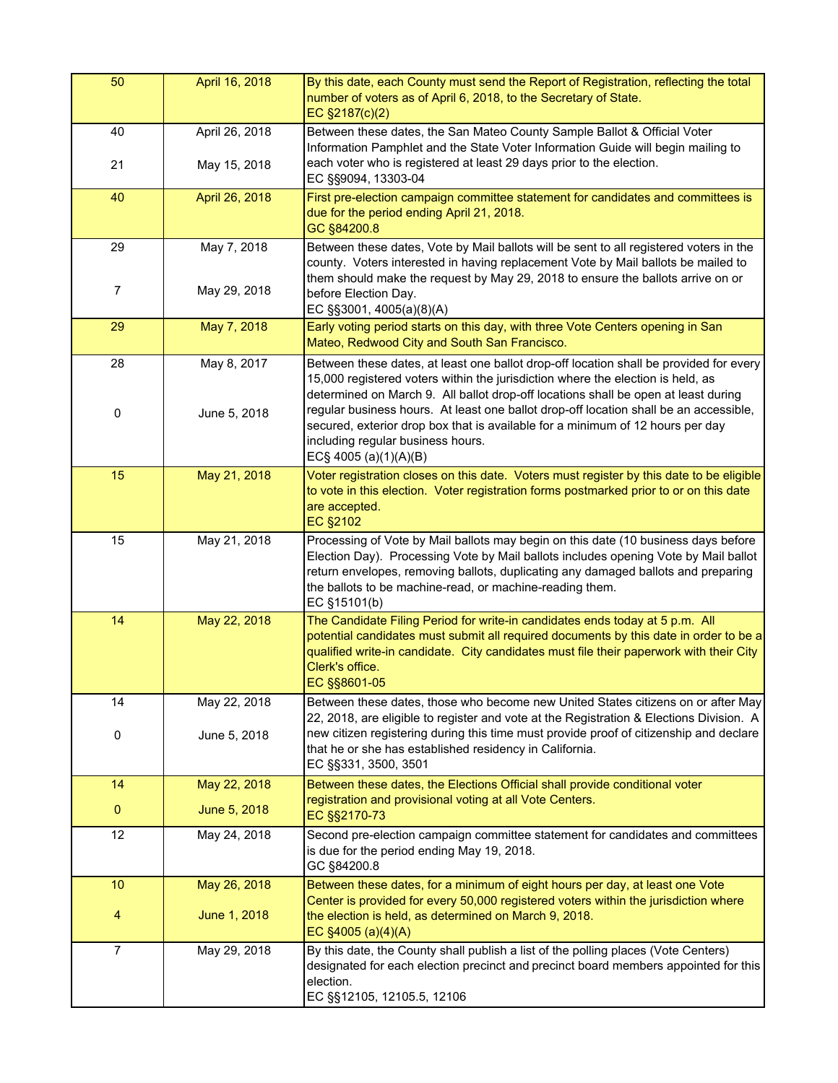| 50             | April 16, 2018 | By this date, each County must send the Report of Registration, reflecting the total<br>number of voters as of April 6, 2018, to the Secretary of State.<br>EC §2187(c)(2)                                                                                                                                                                 |
|----------------|----------------|--------------------------------------------------------------------------------------------------------------------------------------------------------------------------------------------------------------------------------------------------------------------------------------------------------------------------------------------|
| 40             | April 26, 2018 | Between these dates, the San Mateo County Sample Ballot & Official Voter<br>Information Pamphlet and the State Voter Information Guide will begin mailing to                                                                                                                                                                               |
| 21             | May 15, 2018   | each voter who is registered at least 29 days prior to the election.<br>EC §§9094, 13303-04                                                                                                                                                                                                                                                |
| 40             | April 26, 2018 | First pre-election campaign committee statement for candidates and committees is<br>due for the period ending April 21, 2018.<br>GC §84200.8                                                                                                                                                                                               |
| 29             | May 7, 2018    | Between these dates, Vote by Mail ballots will be sent to all registered voters in the<br>county. Voters interested in having replacement Vote by Mail ballots be mailed to                                                                                                                                                                |
| $\overline{7}$ | May 29, 2018   | them should make the request by May 29, 2018 to ensure the ballots arrive on or<br>before Election Day.<br>EC §§3001, 4005(a)(8)(A)                                                                                                                                                                                                        |
| 29             | May 7, 2018    | Early voting period starts on this day, with three Vote Centers opening in San<br>Mateo, Redwood City and South San Francisco.                                                                                                                                                                                                             |
| 28             | May 8, 2017    | Between these dates, at least one ballot drop-off location shall be provided for every<br>15,000 registered voters within the jurisdiction where the election is held, as                                                                                                                                                                  |
| 0              | June 5, 2018   | determined on March 9. All ballot drop-off locations shall be open at least during<br>regular business hours. At least one ballot drop-off location shall be an accessible,<br>secured, exterior drop box that is available for a minimum of 12 hours per day<br>including regular business hours.<br>EC§ 4005 (a)(1)(A)(B)                |
| 15             | May 21, 2018   | Voter registration closes on this date. Voters must register by this date to be eligible<br>to vote in this election. Voter registration forms postmarked prior to or on this date<br>are accepted.<br><b>EC §2102</b>                                                                                                                     |
| 15             | May 21, 2018   | Processing of Vote by Mail ballots may begin on this date (10 business days before<br>Election Day). Processing Vote by Mail ballots includes opening Vote by Mail ballot<br>return envelopes, removing ballots, duplicating any damaged ballots and preparing<br>the ballots to be machine-read, or machine-reading them.<br>EC §15101(b) |
| 14             | May 22, 2018   | The Candidate Filing Period for write-in candidates ends today at 5 p.m. All<br>potential candidates must submit all required documents by this date in order to be a<br>qualified write-in candidate. City candidates must file their paperwork with their City<br>Clerk's office.<br>EC §§8601-05                                        |
| 14             | May 22, 2018   | Between these dates, those who become new United States citizens on or after May<br>22, 2018, are eligible to register and vote at the Registration & Elections Division. A                                                                                                                                                                |
| 0              | June 5, 2018   | new citizen registering during this time must provide proof of citizenship and declare<br>that he or she has established residency in California.<br>EC §§331, 3500, 3501                                                                                                                                                                  |
| 14             | May 22, 2018   | Between these dates, the Elections Official shall provide conditional voter                                                                                                                                                                                                                                                                |
| $\bf{0}$       | June 5, 2018   | registration and provisional voting at all Vote Centers.<br>EC §§2170-73                                                                                                                                                                                                                                                                   |
| 12             | May 24, 2018   | Second pre-election campaign committee statement for candidates and committees<br>is due for the period ending May 19, 2018.<br>GC §84200.8                                                                                                                                                                                                |
| 10             | May 26, 2018   | Between these dates, for a minimum of eight hours per day, at least one Vote                                                                                                                                                                                                                                                               |
| 4              | June 1, 2018   | Center is provided for every 50,000 registered voters within the jurisdiction where<br>the election is held, as determined on March 9, 2018.<br>EC $$4005 (a)(4)(A)$                                                                                                                                                                       |
| $\overline{7}$ | May 29, 2018   | By this date, the County shall publish a list of the polling places (Vote Centers)<br>designated for each election precinct and precinct board members appointed for this<br>election.<br>EC §§12105, 12105.5, 12106                                                                                                                       |